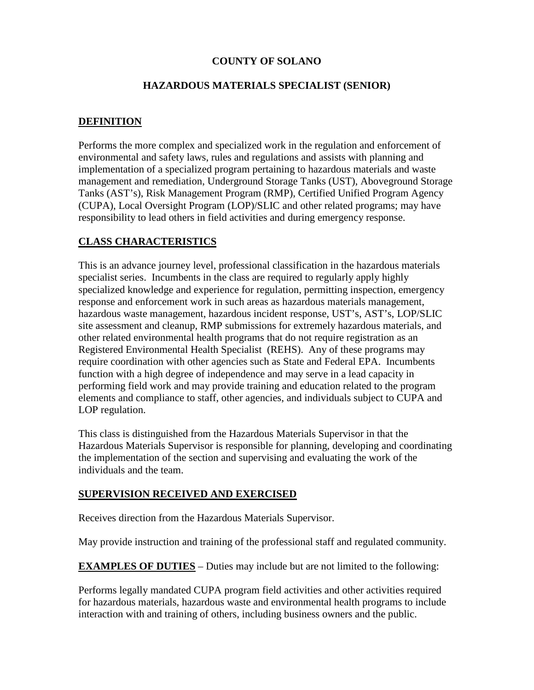# **COUNTY OF SOLANO**

### **HAZARDOUS MATERIALS SPECIALIST (SENIOR)**

### **DEFINITION**

Performs the more complex and specialized work in the regulation and enforcement of environmental and safety laws, rules and regulations and assists with planning and implementation of a specialized program pertaining to hazardous materials and waste management and remediation, Underground Storage Tanks (UST), Aboveground Storage Tanks (AST's), Risk Management Program (RMP), Certified Unified Program Agency (CUPA), Local Oversight Program (LOP)/SLIC and other related programs; may have responsibility to lead others in field activities and during emergency response.

# **CLASS CHARACTERISTICS**

This is an advance journey level, professional classification in the hazardous materials specialist series. Incumbents in the class are required to regularly apply highly specialized knowledge and experience for regulation, permitting inspection, emergency response and enforcement work in such areas as hazardous materials management, hazardous waste management, hazardous incident response, UST's, AST's, LOP/SLIC site assessment and cleanup, RMP submissions for extremely hazardous materials, and other related environmental health programs that do not require registration as an Registered Environmental Health Specialist (REHS). Any of these programs may require coordination with other agencies such as State and Federal EPA. Incumbents function with a high degree of independence and may serve in a lead capacity in performing field work and may provide training and education related to the program elements and compliance to staff, other agencies, and individuals subject to CUPA and LOP regulation.

This class is distinguished from the Hazardous Materials Supervisor in that the Hazardous Materials Supervisor is responsible for planning, developing and coordinating the implementation of the section and supervising and evaluating the work of the individuals and the team.

#### **SUPERVISION RECEIVED AND EXERCISED**

Receives direction from the Hazardous Materials Supervisor.

May provide instruction and training of the professional staff and regulated community.

**EXAMPLES OF DUTIES** – Duties may include but are not limited to the following:

Performs legally mandated CUPA program field activities and other activities required for hazardous materials, hazardous waste and environmental health programs to include interaction with and training of others, including business owners and the public.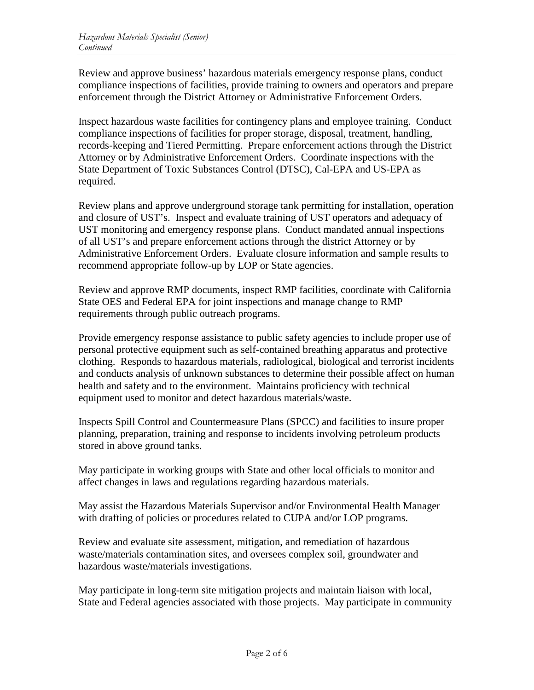Review and approve business' hazardous materials emergency response plans, conduct compliance inspections of facilities, provide training to owners and operators and prepare enforcement through the District Attorney or Administrative Enforcement Orders.

Inspect hazardous waste facilities for contingency plans and employee training. Conduct compliance inspections of facilities for proper storage, disposal, treatment, handling, records-keeping and Tiered Permitting. Prepare enforcement actions through the District Attorney or by Administrative Enforcement Orders. Coordinate inspections with the State Department of Toxic Substances Control (DTSC), Cal-EPA and US-EPA as required.

Review plans and approve underground storage tank permitting for installation, operation and closure of UST's. Inspect and evaluate training of UST operators and adequacy of UST monitoring and emergency response plans. Conduct mandated annual inspections of all UST's and prepare enforcement actions through the district Attorney or by Administrative Enforcement Orders. Evaluate closure information and sample results to recommend appropriate follow-up by LOP or State agencies.

Review and approve RMP documents, inspect RMP facilities, coordinate with California State OES and Federal EPA for joint inspections and manage change to RMP requirements through public outreach programs.

Provide emergency response assistance to public safety agencies to include proper use of personal protective equipment such as self-contained breathing apparatus and protective clothing. Responds to hazardous materials, radiological, biological and terrorist incidents and conducts analysis of unknown substances to determine their possible affect on human health and safety and to the environment. Maintains proficiency with technical equipment used to monitor and detect hazardous materials/waste.

Inspects Spill Control and Countermeasure Plans (SPCC) and facilities to insure proper planning, preparation, training and response to incidents involving petroleum products stored in above ground tanks.

May participate in working groups with State and other local officials to monitor and affect changes in laws and regulations regarding hazardous materials.

May assist the Hazardous Materials Supervisor and/or Environmental Health Manager with drafting of policies or procedures related to CUPA and/or LOP programs.

Review and evaluate site assessment, mitigation, and remediation of hazardous waste/materials contamination sites, and oversees complex soil, groundwater and hazardous waste/materials investigations.

May participate in long-term site mitigation projects and maintain liaison with local, State and Federal agencies associated with those projects. May participate in community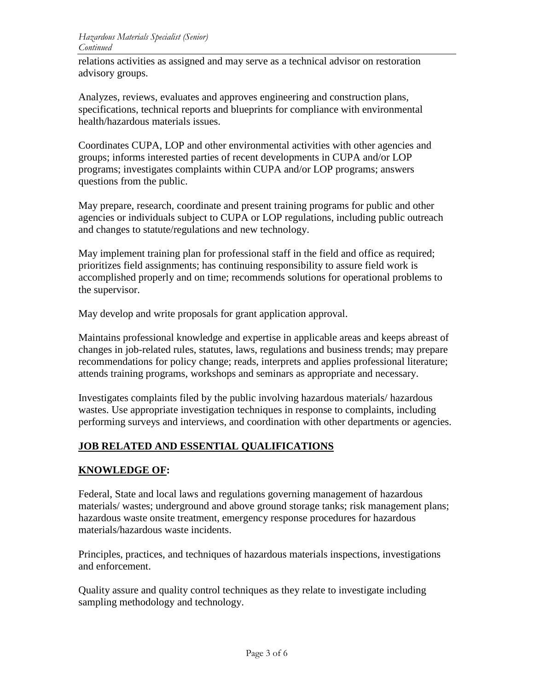relations activities as assigned and may serve as a technical advisor on restoration advisory groups.

Analyzes, reviews, evaluates and approves engineering and construction plans, specifications, technical reports and blueprints for compliance with environmental health/hazardous materials issues.

Coordinates CUPA, LOP and other environmental activities with other agencies and groups; informs interested parties of recent developments in CUPA and/or LOP programs; investigates complaints within CUPA and/or LOP programs; answers questions from the public.

May prepare, research, coordinate and present training programs for public and other agencies or individuals subject to CUPA or LOP regulations, including public outreach and changes to statute/regulations and new technology.

May implement training plan for professional staff in the field and office as required; prioritizes field assignments; has continuing responsibility to assure field work is accomplished properly and on time; recommends solutions for operational problems to the supervisor.

May develop and write proposals for grant application approval.

Maintains professional knowledge and expertise in applicable areas and keeps abreast of changes in job-related rules, statutes, laws, regulations and business trends; may prepare recommendations for policy change; reads, interprets and applies professional literature; attends training programs, workshops and seminars as appropriate and necessary.

Investigates complaints filed by the public involving hazardous materials/ hazardous wastes. Use appropriate investigation techniques in response to complaints, including performing surveys and interviews, and coordination with other departments or agencies.

# **JOB RELATED AND ESSENTIAL QUALIFICATIONS**

# **KNOWLEDGE OF:**

Federal, State and local laws and regulations governing management of hazardous materials/ wastes; underground and above ground storage tanks; risk management plans; hazardous waste onsite treatment, emergency response procedures for hazardous materials/hazardous waste incidents.

Principles, practices, and techniques of hazardous materials inspections, investigations and enforcement.

Quality assure and quality control techniques as they relate to investigate including sampling methodology and technology.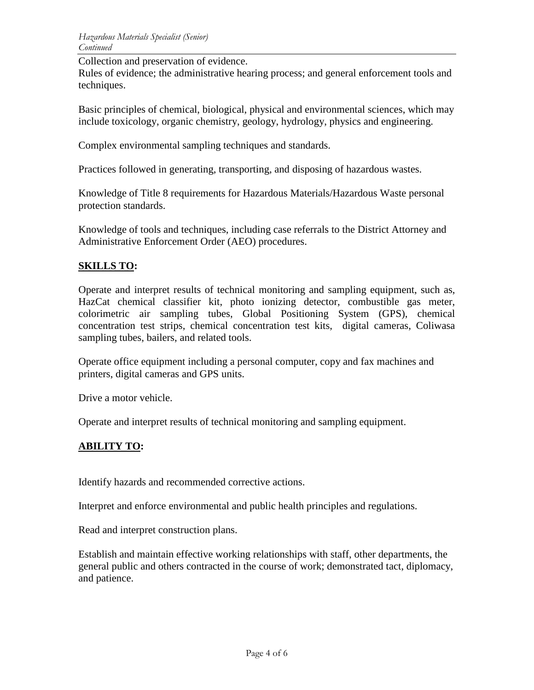Collection and preservation of evidence.

Rules of evidence; the administrative hearing process; and general enforcement tools and techniques.

Basic principles of chemical, biological, physical and environmental sciences, which may include toxicology, organic chemistry, geology, hydrology, physics and engineering.

Complex environmental sampling techniques and standards.

Practices followed in generating, transporting, and disposing of hazardous wastes.

Knowledge of Title 8 requirements for Hazardous Materials/Hazardous Waste personal protection standards.

Knowledge of tools and techniques, including case referrals to the District Attorney and Administrative Enforcement Order (AEO) procedures.

### **SKILLS TO:**

Operate and interpret results of technical monitoring and sampling equipment, such as, HazCat chemical classifier kit, photo ionizing detector, combustible gas meter, colorimetric air sampling tubes, Global Positioning System (GPS), chemical concentration test strips, chemical concentration test kits, digital cameras, Coliwasa sampling tubes, bailers, and related tools.

Operate office equipment including a personal computer, copy and fax machines and printers, digital cameras and GPS units.

Drive a motor vehicle.

Operate and interpret results of technical monitoring and sampling equipment.

#### **ABILITY TO:**

Identify hazards and recommended corrective actions.

Interpret and enforce environmental and public health principles and regulations.

Read and interpret construction plans.

Establish and maintain effective working relationships with staff, other departments, the general public and others contracted in the course of work; demonstrated tact, diplomacy, and patience.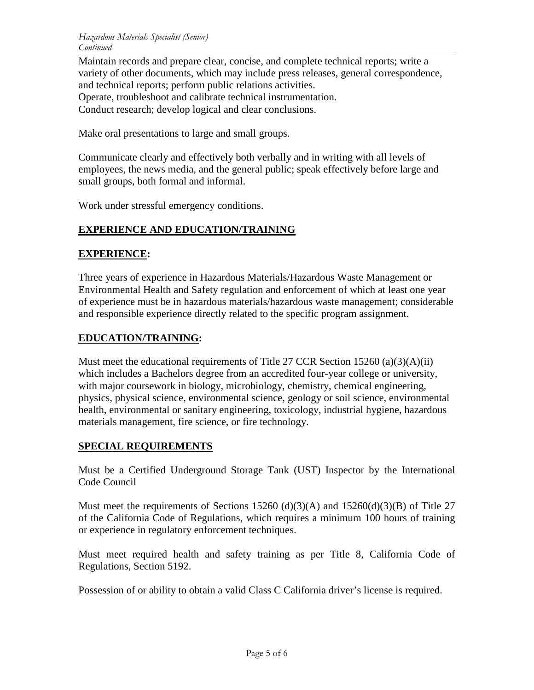Maintain records and prepare clear, concise, and complete technical reports; write a variety of other documents, which may include press releases, general correspondence, and technical reports; perform public relations activities. Operate, troubleshoot and calibrate technical instrumentation. Conduct research; develop logical and clear conclusions.

Make oral presentations to large and small groups.

Communicate clearly and effectively both verbally and in writing with all levels of employees, the news media, and the general public; speak effectively before large and small groups, both formal and informal.

Work under stressful emergency conditions.

### **EXPERIENCE AND EDUCATION/TRAINING**

#### **EXPERIENCE:**

Three years of experience in Hazardous Materials/Hazardous Waste Management or Environmental Health and Safety regulation and enforcement of which at least one year of experience must be in hazardous materials/hazardous waste management; considerable and responsible experience directly related to the specific program assignment.

#### **EDUCATION/TRAINING:**

Must meet the educational requirements of Title 27 CCR Section  $15260 \text{ (a)}(3)(A)(ii)$ which includes a Bachelors degree from an accredited four-year college or university, with major coursework in biology, microbiology, chemistry, chemical engineering, physics, physical science, environmental science, geology or soil science, environmental health, environmental or sanitary engineering, toxicology, industrial hygiene, hazardous materials management, fire science, or fire technology.

#### **SPECIAL REQUIREMENTS**

Must be a Certified Underground Storage Tank (UST) Inspector by the International Code Council

Must meet the requirements of Sections 15260 (d)(3)(A) and 15260(d)(3)(B) of Title 27 of the California Code of Regulations, which requires a minimum 100 hours of training or experience in regulatory enforcement techniques.

Must meet required health and safety training as per Title 8, California Code of Regulations, Section 5192.

Possession of or ability to obtain a valid Class C California driver's license is required.